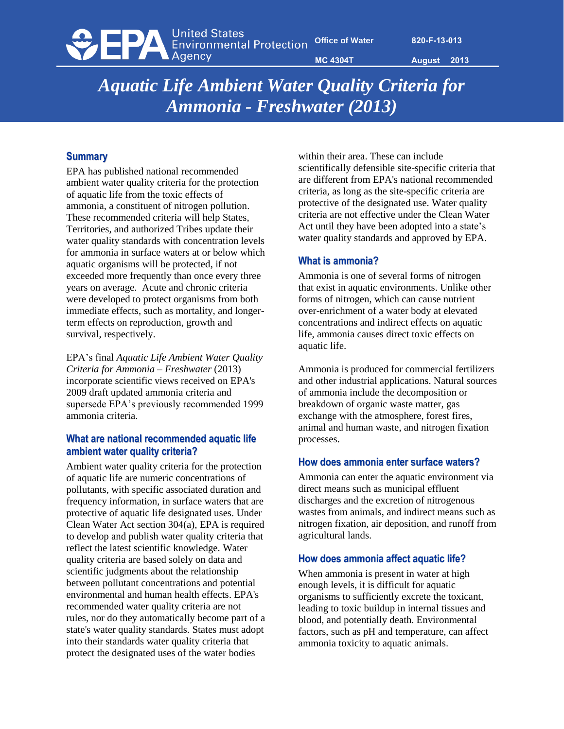**ODER United States**<br>Environmental Protection

**Office of Water 820-F-13-013**

**MC 4304T August 2013** 

*Aquatic Life Ambient Water Quality Criteria for Ammonia - Freshwater (2013)* 

### **Summary**

EPA has published national recommended ambient water quality criteria for the protection of aquatic life from the toxic effects of ammonia, a constituent of nitrogen pollution. These recommended criteria will help States, Territories, and authorized Tribes update their water quality standards with concentration levels for ammonia in surface waters at or below which aquatic organisms will be protected, if not exceeded more frequently than once every three years on average. Acute and chronic criteria were developed to protect organisms from both immediate effects, such as mortality, and longerterm effects on reproduction, growth and survival, respectively.

EPA's final *Aquatic Life Ambient Water Quality Criteria for Ammonia – Freshwater* (2013) incorporate scientific views received on EPA's 2009 draft updated ammonia criteria and supersede EPA's previously recommended 1999 ammonia criteria.

## **What are national recommended aquatic life ambient water quality criteria?**

Ambient water quality criteria for the protection of aquatic life are numeric concentrations of pollutants, with specific associated duration and frequency information, in surface waters that are protective of aquatic life designated uses. Under Clean Water Act section 304(a), EPA is required to develop and publish water quality criteria that reflect the latest scientific knowledge. Water quality criteria are based solely on data and scientific judgments about the relationship between pollutant concentrations and potential environmental and human health effects. EPA's recommended water quality criteria are not rules, nor do they automatically become part of a state's water quality standards. States must adopt into their standards water quality criteria that protect the designated uses of the water bodies

within their area. These can include scientifically defensible site-specific criteria that are different from EPA's national recommended criteria, as long as the site-specific criteria are protective of the designated use. Water quality criteria are not effective under the Clean Water Act until they have been adopted into a state's water quality standards and approved by EPA.

## **What is ammonia?**

Ammonia is one of several forms of nitrogen that exist in aquatic environments. Unlike other forms of nitrogen, which can cause nutrient over-enrichment of a water body at elevated concentrations and indirect effects on aquatic life, ammonia causes direct toxic effects on aquatic life.

Ammonia is produced for commercial fertilizers and other industrial applications. Natural sources of ammonia include the decomposition or breakdown of organic waste matter, gas exchange with the atmosphere, forest fires, animal and human waste, and nitrogen fixation processes.

### **How does ammonia enter surface waters?**

Ammonia can enter the aquatic environment via direct means such as municipal effluent discharges and the excretion of nitrogenous wastes from animals, and indirect means such as nitrogen fixation, air deposition, and runoff from agricultural lands.

### **How does ammonia affect aquatic life?**

When ammonia is present in water at high enough levels, it is difficult for aquatic organisms to sufficiently excrete the toxicant, leading to toxic buildup in internal tissues and blood, and potentially death. Environmental factors, such as pH and temperature, can affect ammonia toxicity to aquatic animals.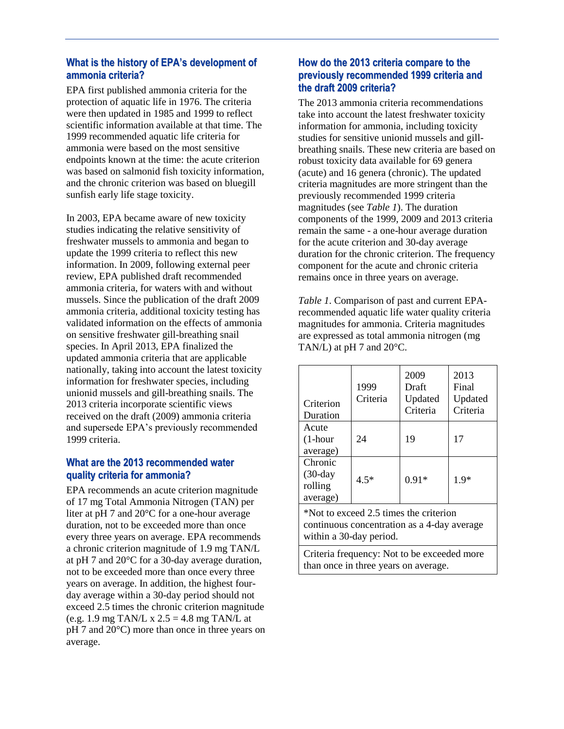## **What is the history of EPA's development of ammonia criteria?**

EPA first published ammonia criteria for the protection of aquatic life in 1976. The criteria were then updated in 1985 and 1999 to reflect scientific information available at that time. The 1999 recommended aquatic life criteria for ammonia were based on the most sensitive endpoints known at the time: the acute criterion was based on salmonid fish toxicity information, and the chronic criterion was based on bluegill sunfish early life stage toxicity.

In 2003, EPA became aware of new toxicity studies indicating the relative sensitivity of freshwater mussels to ammonia and began to update the 1999 criteria to reflect this new information. In 2009, following external peer review, EPA published draft recommended ammonia criteria, for waters with and without mussels. Since the publication of the draft 2009 ammonia criteria, additional toxicity testing has validated information on the effects of ammonia on sensitive freshwater gill-breathing snail species. In April 2013, EPA finalized the updated ammonia criteria that are applicable nationally, taking into account the latest toxicity information for freshwater species, including unionid mussels and gill-breathing snails. The 2013 criteria incorporate scientific views received on the draft (2009) ammonia criteria and supersede EPA's previously recommended 1999 criteria.

# **What are the 2013 recommended water quality criteria for ammonia?**

EPA recommends an acute criterion magnitude of 17 mg Total Ammonia Nitrogen (TAN) per liter at pH 7 and 20°C for a one-hour average duration, not to be exceeded more than once every three years on average. EPA recommends a chronic criterion magnitude of 1.9 mg TAN/L at pH 7 and 20°C for a 30-day average duration, not to be exceeded more than once every three years on average. In addition, the highest fourday average within a 30-day period should not exceed 2.5 times the chronic criterion magnitude (e.g. 1.9 mg TAN/L x  $2.5 = 4.8$  mg TAN/L at pH 7 and 20°C) more than once in three years on average.

# **How do the 2013 criteria compare to the previously recommended 1999 criteria and the draft 2009 criteria?**

The 2013 ammonia criteria recommendations take into account the latest freshwater toxicity information for ammonia, including toxicity studies for sensitive unionid mussels and gillbreathing snails. These new criteria are based on robust toxicity data available for 69 genera (acute) and 16 genera (chronic). The updated criteria magnitudes are more stringent than the previously recommended 1999 criteria magnitudes (see *Table 1*). The duration components of the 1999, 2009 and 2013 criteria remain the same - a one-hour average duration for the acute criterion and 30-day average duration for the chronic criterion. The frequency component for the acute and chronic criteria remains once in three years on average.

*Table 1*. Comparison of past and current EPArecommended aquatic life water quality criteria magnitudes for ammonia. Criteria magnitudes are expressed as total ammonia nitrogen (mg TAN/L) at  $pH$  7 and  $20^{\circ}$ C.

| Criterion<br>Duration                        | 1999<br>Criteria | 2009<br>Draft<br>Updated<br>Criteria | 2013<br>Final<br>Updated<br>Criteria |
|----------------------------------------------|------------------|--------------------------------------|--------------------------------------|
| Acute<br>$(1$ -hour<br>average)              | 24               | 19                                   | 17                                   |
| Chronic<br>$(30-day)$<br>rolling<br>average) | $4.5*$           | $0.91*$                              | $1.9*$                               |
| *Not to exceed 2.5 times the criterion       |                  |                                      |                                      |

continuous concentration as a 4-day average within a 30-day period.

Criteria frequency: Not to be exceeded more than once in three years on average.